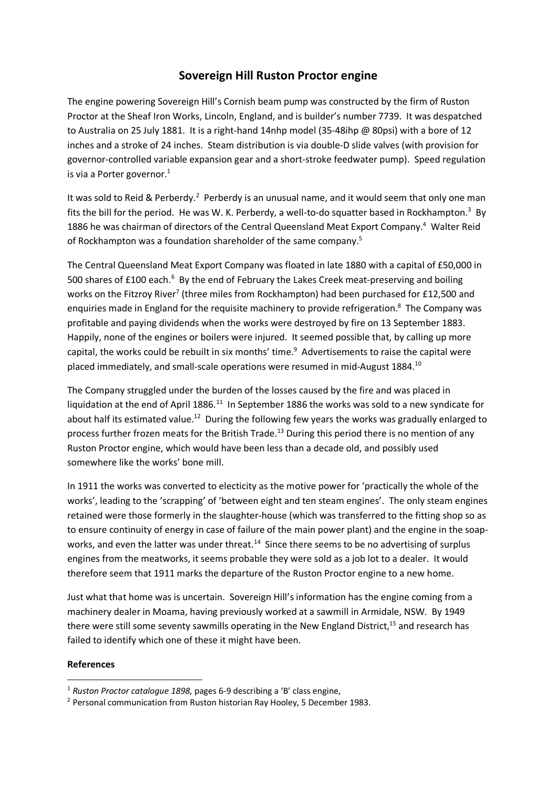## **Sovereign Hill Ruston Proctor engine**

The engine powering Sovereign Hill's Cornish beam pump was constructed by the firm of Ruston Proctor at the Sheaf Iron Works, Lincoln, England, and is builder's number 7739. It was despatched to Australia on 25 July 1881. It is a right-hand 14nhp model (35-48ihp @ 80psi) with a bore of 12 inches and a stroke of 24 inches. Steam distribution is via double-D slide valves (with provision for governor-controlled variable expansion gear and a short-stroke feedwater pump). Speed regulation is via a Porter governor. $1$ 

It was sold to Reid & Perberdy.<sup>2</sup> Perberdy is an unusual name, and it would seem that only one man fits the bill for the period. He was W. K. Perberdy, a well-to-do squatter based in Rockhampton.<sup>3</sup> By 1886 he was chairman of directors of the Central Queensland Meat Export Company.<sup>4</sup> Walter Reid of Rockhampton was a foundation shareholder of the same company.<sup>5</sup>

The Central Queensland Meat Export Company was floated in late 1880 with a capital of £50,000 in 500 shares of £100 each.<sup>6</sup> By the end of February the Lakes Creek meat-preserving and boiling works on the Fitzroy River<sup>7</sup> (three miles from Rockhampton) had been purchased for £12,500 and enquiries made in England for the requisite machinery to provide refrigeration.<sup>8</sup> The Company was profitable and paying dividends when the works were destroyed by fire on 13 September 1883. Happily, none of the engines or boilers were injured. It seemed possible that, by calling up more capital, the works could be rebuilt in six months' time. $9$  Advertisements to raise the capital were placed immediately, and small-scale operations were resumed in mid-August 1884.10

The Company struggled under the burden of the losses caused by the fire and was placed in liquidation at the end of April 1886.<sup>11</sup> In September 1886 the works was sold to a new syndicate for about half its estimated value.<sup>12</sup> During the following few years the works was gradually enlarged to process further frozen meats for the British Trade.<sup>13</sup> During this period there is no mention of any Ruston Proctor engine, which would have been less than a decade old, and possibly used somewhere like the works' bone mill.

In 1911 the works was converted to electicity as the motive power for 'practically the whole of the works', leading to the 'scrapping' of 'between eight and ten steam engines'. The only steam engines retained were those formerly in the slaughter-house (which was transferred to the fitting shop so as to ensure continuity of energy in case of failure of the main power plant) and the engine in the soapworks, and even the latter was under threat.<sup>14</sup> Since there seems to be no advertising of surplus engines from the meatworks, it seems probable they were sold as a job lot to a dealer. It would therefore seem that 1911 marks the departure of the Ruston Proctor engine to a new home.

Just what that home was is uncertain. Sovereign Hill's information has the engine coming from a machinery dealer in Moama, having previously worked at a sawmill in Armidale, NSW. By 1949 there were still some seventy sawmills operating in the New England District,<sup>15</sup> and research has failed to identify which one of these it might have been.

## **References**

 <sup>1</sup> *Ruston Proctor catalogue 1898*, pages 6-9 describing a 'B' class engine,

<sup>&</sup>lt;sup>2</sup> Personal communication from Ruston historian Ray Hooley, 5 December 1983.